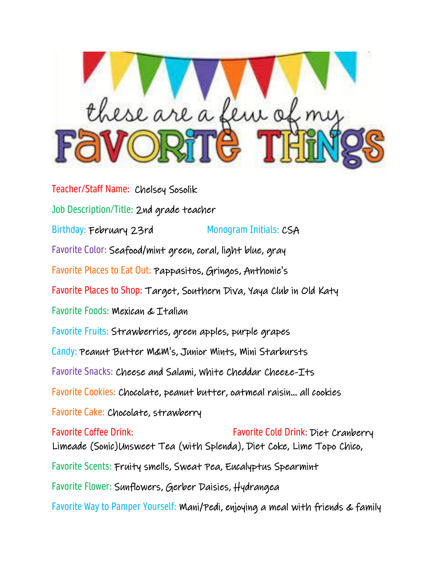

Teacher/Staff Name: Chelsey Sosolik Job Description/Title: 2nd grade teacher Birthday: February 23rd Monogram Initials: CSA Favorite Color: Seafood/mint green, coral, light blue, gray Favorite Places to Eat Out: Pappasitos, Gringos, Anthonie's Favorite Places to Shop: Target, Southern Diva, Yaya Club in Old Katy Favorite Foods: Mexican & Italian Favorite Fruits: Strawberries, green apples, purple grapes Candy: Peanut Butter M&M's, Junior Mints, Mini Starbursts Favorite Snacks: Cheese and Salami, White Cheddar Cheeze-Its Favorite Cookies: Chocolate, peanut butter, oatmeal raisin... all cookies Favorite Cake: Chocolate, strawberry Favorite Coffee Drink: Favorite Cold Drink: Diet Cranberry Limeade (Sonic)Unsweet Tea (with Splenda), Diet Coke, Lime Topo Chico, Favorite Scents: Fruity smells, Sweat Pea, Eucalyptus Spearmint Favorite Flower: Sunflowers, Gerber Daisies, Hydrangea Favorite Way to Pamper Yourself: Mani/Pedi, enjoying a meal with friends & family